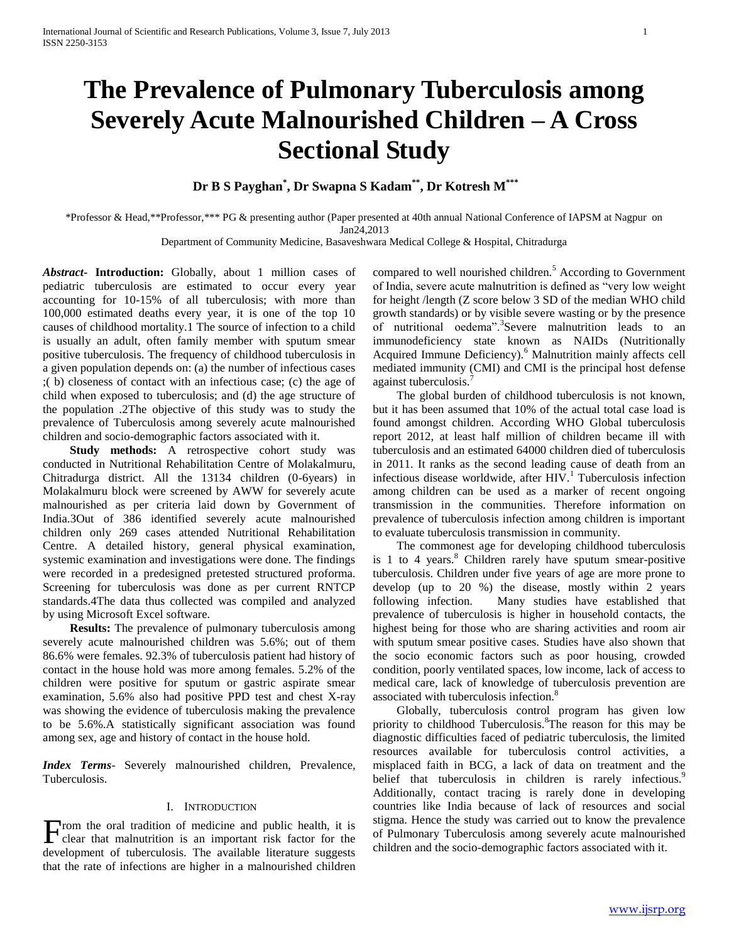# **The Prevalence of Pulmonary Tuberculosis among Severely Acute Malnourished Children – A Cross Sectional Study**

**Dr B S Payghan\* , Dr Swapna S Kadam\*\*, Dr Kotresh M\*\*\***

\*Professor & Head,\*\*Professor,\*\*\* PG & presenting author (Paper presented at 40th annual National Conference of IAPSM at Nagpur on Jan24,2013

Department of Community Medicine, Basaveshwara Medical College & Hospital, Chitradurga

*Abstract***- Introduction:** Globally, about 1 million cases of pediatric tuberculosis are estimated to occur every year accounting for 10-15% of all tuberculosis; with more than 100,000 estimated deaths every year, it is one of the top 10 causes of childhood mortality.1 The source of infection to a child is usually an adult, often family member with sputum smear positive tuberculosis. The frequency of childhood tuberculosis in a given population depends on: (a) the number of infectious cases ;( b) closeness of contact with an infectious case; (c) the age of child when exposed to tuberculosis; and (d) the age structure of the population .2The objective of this study was to study the prevalence of Tuberculosis among severely acute malnourished children and socio-demographic factors associated with it.

 **Study methods:** A retrospective cohort study was conducted in Nutritional Rehabilitation Centre of Molakalmuru, Chitradurga district. All the 13134 children (0-6years) in Molakalmuru block were screened by AWW for severely acute malnourished as per criteria laid down by Government of India.3Out of 386 identified severely acute malnourished children only 269 cases attended Nutritional Rehabilitation Centre. A detailed history, general physical examination, systemic examination and investigations were done. The findings were recorded in a predesigned pretested structured proforma. Screening for tuberculosis was done as per current RNTCP standards.4The data thus collected was compiled and analyzed by using Microsoft Excel software.

**Results:** The prevalence of pulmonary tuberculosis among severely acute malnourished children was 5.6%; out of them 86.6% were females. 92.3% of tuberculosis patient had history of contact in the house hold was more among females. 5.2% of the children were positive for sputum or gastric aspirate smear examination, 5.6% also had positive PPD test and chest X-ray was showing the evidence of tuberculosis making the prevalence to be 5.6%.A statistically significant association was found among sex, age and history of contact in the house hold.

*Index Terms*- Severely malnourished children, Prevalence, Tuberculosis.

## I. INTRODUCTION

clear that malnutrition is an important risk factor for the development of tuberculosis. The available literature suggests that the rate of infections are higher in a malnourished children compared to well nourished children.<sup>5</sup> According to Government of India, severe acute malnutrition is defined as "very low weight for height /length (Z score below 3 SD of the median WHO child growth standards) or by visible severe wasting or by the presence of nutritional oedema".<sup>3</sup> Severe malnutrition leads to an immunodeficiency state known as NAIDs (Nutritionally Acquired Immune Deficiency).<sup>6</sup> Malnutrition mainly affects cell mediated immunity (CMI) and CMI is the principal host defense against tuberculosis.

 The global burden of childhood tuberculosis is not known, but it has been assumed that 10% of the actual total case load is found amongst children. According WHO Global tuberculosis report 2012, at least half million of children became ill with tuberculosis and an estimated 64000 children died of tuberculosis in 2011. It ranks as the second leading cause of death from an infectious disease worldwide, after  $HIV.<sup>1</sup>$  Tuberculosis infection among children can be used as a marker of recent ongoing transmission in the communities. Therefore information on prevalence of tuberculosis infection among children is important to evaluate tuberculosis transmission in community.

 The commonest age for developing childhood tuberculosis is  $1$  to  $4$  years.<sup>8</sup> Children rarely have sputum smear-positive tuberculosis. Children under five years of age are more prone to develop (up to 20 %) the disease, mostly within 2 years following infection. Many studies have established that prevalence of tuberculosis is higher in household contacts, the highest being for those who are sharing activities and room air with sputum smear positive cases. Studies have also shown that the socio economic factors such as poor housing, crowded condition, poorly ventilated spaces, low income, lack of access to medical care, lack of knowledge of tuberculosis prevention are associated with tuberculosis infection.<sup>8</sup>

From the oral tradition of medicine and public health, it is<br>
clear that malnutrition is an important risk factor for the original Henry Tuberculosis among severely acute malnourished<br>
children and the socio-demographic f Globally, tuberculosis control program has given low priority to childhood Tuberculosis.<sup>8</sup>The reason for this may be diagnostic difficulties faced of pediatric tuberculosis, the limited resources available for tuberculosis control activities, a misplaced faith in BCG, a lack of data on treatment and the belief that tuberculosis in children is rarely infectious.<sup>9</sup> Additionally, contact tracing is rarely done in developing countries like India because of lack of resources and social stigma. Hence the study was carried out to know the prevalence of Pulmonary Tuberculosis among severely acute malnourished children and the socio-demographic factors associated with it.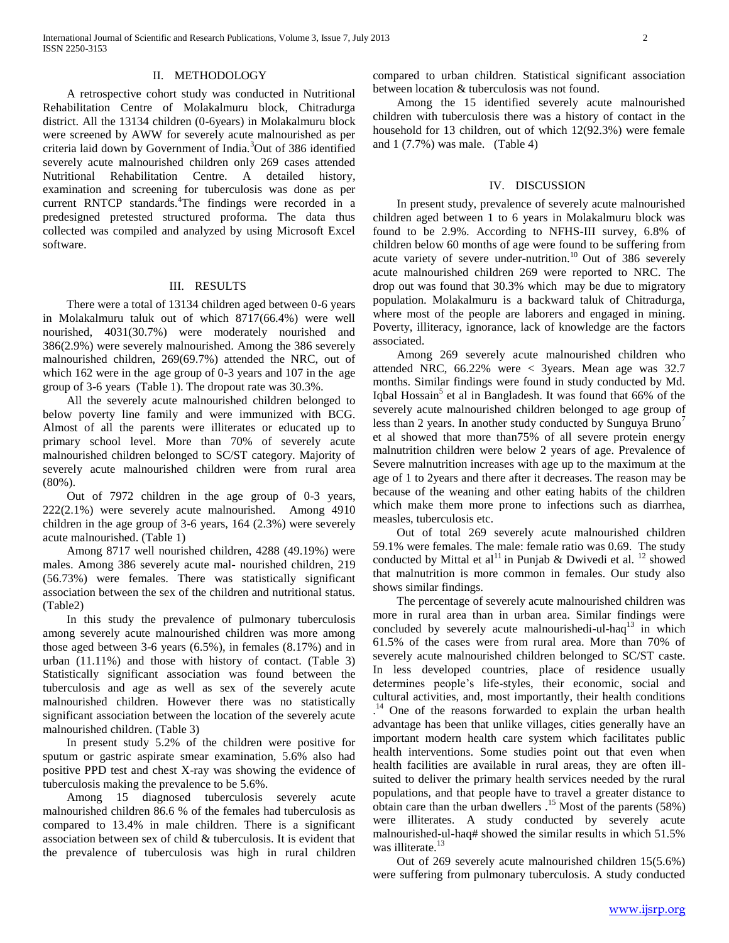## II. METHODOLOGY

 A retrospective cohort study was conducted in Nutritional Rehabilitation Centre of Molakalmuru block, Chitradurga district. All the 13134 children (0-6years) in Molakalmuru block were screened by AWW for severely acute malnourished as per criteria laid down by Government of India.<sup>3</sup>Out of 386 identified severely acute malnourished children only 269 cases attended Nutritional Rehabilitation Centre. A detailed history, examination and screening for tuberculosis was done as per current RNTCP standards.<sup>4</sup>The findings were recorded in a predesigned pretested structured proforma. The data thus collected was compiled and analyzed by using Microsoft Excel software.

# III. RESULTS

 There were a total of 13134 children aged between 0-6 years in Molakalmuru taluk out of which 8717(66.4%) were well nourished, 4031(30.7%) were moderately nourished and 386(2.9%) were severely malnourished. Among the 386 severely malnourished children, 269(69.7%) attended the NRC, out of which 162 were in the age group of 0-3 years and 107 in the age group of 3-6 years (Table 1). The dropout rate was 30.3%.

 All the severely acute malnourished children belonged to below poverty line family and were immunized with BCG. Almost of all the parents were illiterates or educated up to primary school level. More than 70% of severely acute malnourished children belonged to SC/ST category. Majority of severely acute malnourished children were from rural area (80%).

 Out of 7972 children in the age group of 0-3 years, 222(2.1%) were severely acute malnourished. Among 4910 children in the age group of 3-6 years, 164 (2.3%) were severely acute malnourished. (Table 1)

 Among 8717 well nourished children, 4288 (49.19%) were males. Among 386 severely acute mal- nourished children, 219 (56.73%) were females. There was statistically significant association between the sex of the children and nutritional status. (Table2)

 In this study the prevalence of pulmonary tuberculosis among severely acute malnourished children was more among those aged between 3-6 years (6.5%), in females (8.17%) and in urban (11.11%) and those with history of contact. (Table 3) Statistically significant association was found between the tuberculosis and age as well as sex of the severely acute malnourished children. However there was no statistically significant association between the location of the severely acute malnourished children. (Table 3)

 In present study 5.2% of the children were positive for sputum or gastric aspirate smear examination, 5.6% also had positive PPD test and chest X-ray was showing the evidence of tuberculosis making the prevalence to be 5.6%.

 Among 15 diagnosed tuberculosis severely acute malnourished children 86.6 % of the females had tuberculosis as compared to 13.4% in male children. There is a significant association between sex of child & tuberculosis. It is evident that the prevalence of tuberculosis was high in rural children compared to urban children. Statistical significant association between location & tuberculosis was not found.

 Among the 15 identified severely acute malnourished children with tuberculosis there was a history of contact in the household for 13 children, out of which 12(92.3%) were female and  $1(7.7%)$  was male. (Table 4)

#### IV. DISCUSSION

 In present study, prevalence of severely acute malnourished children aged between 1 to 6 years in Molakalmuru block was found to be 2.9%. According to NFHS-III survey, 6.8% of children below 60 months of age were found to be suffering from acute variety of severe under-nutrition.<sup>10</sup> Out of 386 severely acute malnourished children 269 were reported to NRC. The drop out was found that 30.3% which may be due to migratory population. Molakalmuru is a backward taluk of Chitradurga, where most of the people are laborers and engaged in mining. Poverty, illiteracy, ignorance, lack of knowledge are the factors associated.

 Among 269 severely acute malnourished children who attended NRC, 66.22% were < 3years. Mean age was 32.7 months. Similar findings were found in study conducted by Md. Iqbal Hossain<sup>5</sup> et al in Bangladesh. It was found that 66% of the severely acute malnourished children belonged to age group of less than 2 years. In another study conducted by Sunguya Bruno<sup>1</sup> et al showed that more than75% of all severe protein energy malnutrition children were below 2 years of age. Prevalence of Severe malnutrition increases with age up to the maximum at the age of 1 to 2years and there after it decreases. The reason may be because of the weaning and other eating habits of the children which make them more prone to infections such as diarrhea, measles, tuberculosis etc.

 Out of total 269 severely acute malnourished children 59.1% were females. The male: female ratio was 0.69. The study conducted by Mittal et al<sup>11</sup> in Punjab & Dwivedi et al.<sup>12</sup> showed that malnutrition is more common in females. Our study also shows similar findings.

 The percentage of severely acute malnourished children was more in rural area than in urban area. Similar findings were concluded by severely acute malnourishedi-ul-haq $^{13}$  in which 61.5% of the cases were from rural area. More than 70% of severely acute malnourished children belonged to SC/ST caste. In less developed countries, place of residence usually determines people's life-styles, their economic, social and cultural activities, and, most importantly, their health conditions . <sup>14</sup> One of the reasons forwarded to explain the urban health advantage has been that unlike villages, cities generally have an important modern health care system which facilitates public health interventions. Some studies point out that even when health facilities are available in rural areas, they are often illsuited to deliver the primary health services needed by the rural populations, and that people have to travel a greater distance to obtain care than the urban dwellers  $^{15}$  Most of the parents (58%) were illiterates. A study conducted by severely acute malnourished-ul-haq# showed the similar results in which 51.5% was illiterate.<sup>13</sup>

 Out of 269 severely acute malnourished children 15(5.6%) were suffering from pulmonary tuberculosis. A study conducted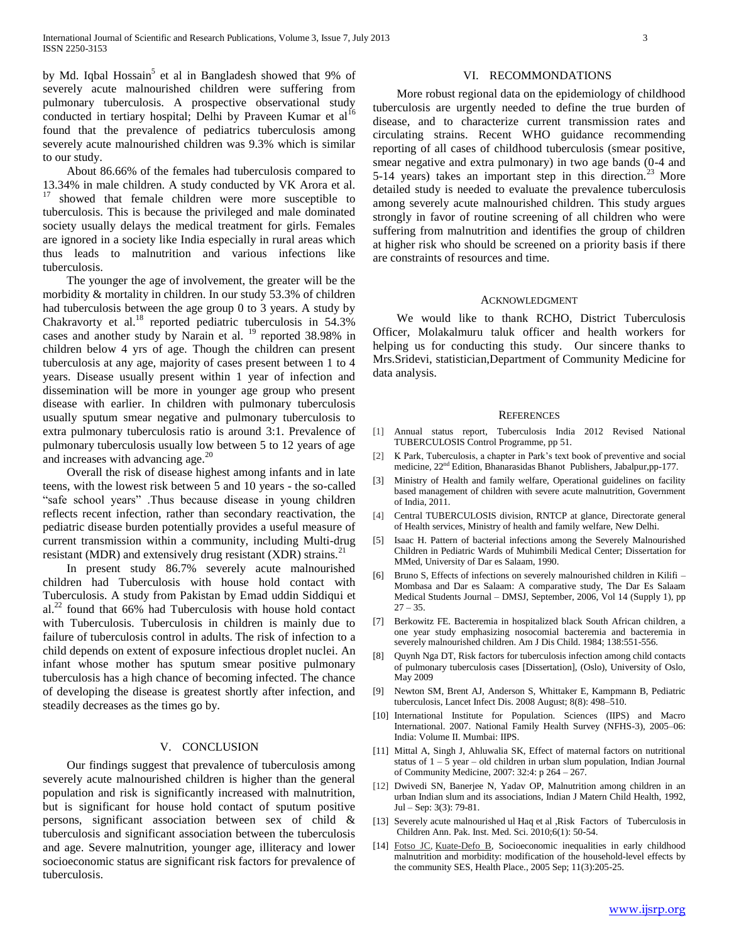by Md. Iqbal Hossain<sup>5</sup> et al in Bangladesh showed that 9% of severely acute malnourished children were suffering from pulmonary tuberculosis. A prospective observational study conducted in tertiary hospital; Delhi by Praveen Kumar et al<sup>16</sup> found that the prevalence of pediatrics tuberculosis among severely acute malnourished children was 9.3% which is similar to our study.

 About 86.66% of the females had tuberculosis compared to 13.34% in male children. A study conducted by VK Arora et al. showed that female children were more susceptible to tuberculosis. This is because the privileged and male dominated society usually delays the medical treatment for girls. Females are ignored in a society like India especially in rural areas which thus leads to malnutrition and various infections like tuberculosis.

 The younger the age of involvement, the greater will be the morbidity & mortality in children. In our study 53.3% of children had tuberculosis between the age group 0 to 3 years. A study by Chakravorty et al.<sup>18</sup> reported pediatric tuberculosis in 54.3% cases and another study by Narain et al. <sup>19</sup> reported 38.98% in children below 4 yrs of age. Though the children can present tuberculosis at any age, majority of cases present between 1 to 4 years. Disease usually present within 1 year of infection and dissemination will be more in younger age group who present disease with earlier. In children with pulmonary tuberculosis usually sputum smear negative and pulmonary tuberculosis to extra pulmonary tuberculosis ratio is around 3:1. Prevalence of pulmonary tuberculosis usually low between 5 to 12 years of age and increases with advancing age.<sup>20</sup>

 Overall the risk of disease highest among infants and in late teens, with the lowest risk between 5 and 10 years - the so-called "safe school years" .Thus because disease in young children reflects recent infection, rather than secondary reactivation, the pediatric disease burden potentially provides a useful measure of current transmission within a community, including Multi-drug resistant (MDR) and extensively drug resistant (XDR) strains.<sup>21</sup>

 In present study 86.7% severely acute malnourished children had Tuberculosis with house hold contact with Tuberculosis. A study from Pakistan by Emad uddin Siddiqui et  $al.<sup>22</sup>$  found that 66% had Tuberculosis with house hold contact with Tuberculosis. Tuberculosis in children is mainly due to failure of tuberculosis control in adults. The risk of infection to a child depends on extent of exposure infectious droplet nuclei. An infant whose mother has sputum smear positive pulmonary tuberculosis has a high chance of becoming infected. The chance of developing the disease is greatest shortly after infection, and steadily decreases as the times go by.

# V. CONCLUSION

 Our findings suggest that prevalence of tuberculosis among severely acute malnourished children is higher than the general population and risk is significantly increased with malnutrition, but is significant for house hold contact of sputum positive persons, significant association between sex of child & tuberculosis and significant association between the tuberculosis and age. Severe malnutrition, younger age, illiteracy and lower socioeconomic status are significant risk factors for prevalence of tuberculosis.

# VI. RECOMMONDATIONS

 More robust regional data on the epidemiology of childhood tuberculosis are urgently needed to define the true burden of disease, and to characterize current transmission rates and circulating strains. Recent WHO guidance recommending reporting of all cases of childhood tuberculosis (smear positive, smear negative and extra pulmonary) in two age bands (0-4 and 5-14 years) takes an important step in this direction.<sup>23</sup> More detailed study is needed to evaluate the prevalence tuberculosis among severely acute malnourished children. This study argues strongly in favor of routine screening of all children who were suffering from malnutrition and identifies the group of children at higher risk who should be screened on a priority basis if there are constraints of resources and time.

#### ACKNOWLEDGMENT

 We would like to thank RCHO, District Tuberculosis Officer, Molakalmuru taluk officer and health workers for helping us for conducting this study. Our sincere thanks to Mrs.Sridevi, statistician,Department of Community Medicine for data analysis.

#### **REFERENCES**

- [1] Annual status report, Tuberculosis India 2012 Revised National TUBERCULOSIS Control Programme, pp 51.
- [2] K Park, Tuberculosis, a chapter in Park's text book of preventive and social medicine,  $22<sup>nd</sup>$  Edition, Bhanarasidas Bhanot Publishers, Jabalpur,pp-177.
- [3] Ministry of Health and family welfare, Operational guidelines on facility based management of children with severe acute malnutrition, Government of India, 2011.
- [4] Central TUBERCULOSIS division, RNTCP at glance, Directorate general of Health services, Ministry of health and family welfare, New Delhi.
- [5] Isaac H. Pattern of bacterial infections among the Severely Malnourished Children in Pediatric Wards of Muhimbili Medical Center; Dissertation for MMed, University of Dar es Salaam, 1990.
- [6] Bruno S, Effects of infections on severely malnourished children in Kilifi Mombasa and Dar es Salaam: A comparative study, The Dar Es Salaam Medical Students Journal – DMSJ, September, 2006, Vol 14 (Supply 1), pp  $27 - 35$ .
- [7] Berkowitz FE. Bacteremia in hospitalized black South African children, a one year study emphasizing nosocomial bacteremia and bacteremia in severely malnourished children. Am J Dis Child. 1984; 138:551-556.
- [8] Quynh Nga DT, Risk factors for tuberculosis infection among child contacts of pulmonary tuberculosis cases [Dissertation], (Oslo), University of Oslo, May 2009
- [9] Newton SM, Brent AJ, Anderson S, Whittaker E, Kampmann B, Pediatric tuberculosis, Lancet Infect Dis. 2008 August; 8(8): 498–510.
- [10] International Institute for Population. Sciences (IIPS) and Macro International. 2007. National Family Health Survey (NFHS-3), 2005–06: India: Volume II. Mumbai: IIPS.
- [11] Mittal A, Singh J, Ahluwalia SK, Effect of maternal factors on nutritional status of  $1 - 5$  year – old children in urban slum population, Indian Journal of Community Medicine, 2007: 32:4: p 264 – 267.
- [12] Dwivedi SN, Banerjee N, Yadav OP, Malnutrition among children in an urban Indian slum and its associations, Indian J Matern Child Health, 1992, Jul – Sep: 3(3): 79-81.
- [13] Severely acute malnourished ul Haq et al , Risk Factors of Tuberculosis in Children Ann. Pak. Inst. Med. Sci. 2010;6(1): 50-54.
- [14] [Fotso JC,](http://www.ncbi.nlm.nih.gov/pubmed?term=Fotso%20JC%5BAuthor%5D&cauthor=true&cauthor_uid=15774328) [Kuate-Defo B,](http://www.ncbi.nlm.nih.gov/pubmed?term=Kuate-Defo%20B%5BAuthor%5D&cauthor=true&cauthor_uid=15774328) Socioeconomic inequalities in early childhood malnutrition and morbidity: modification of the household-level effects by the community SES, Health Place., 2005 Sep; 11(3):205-25.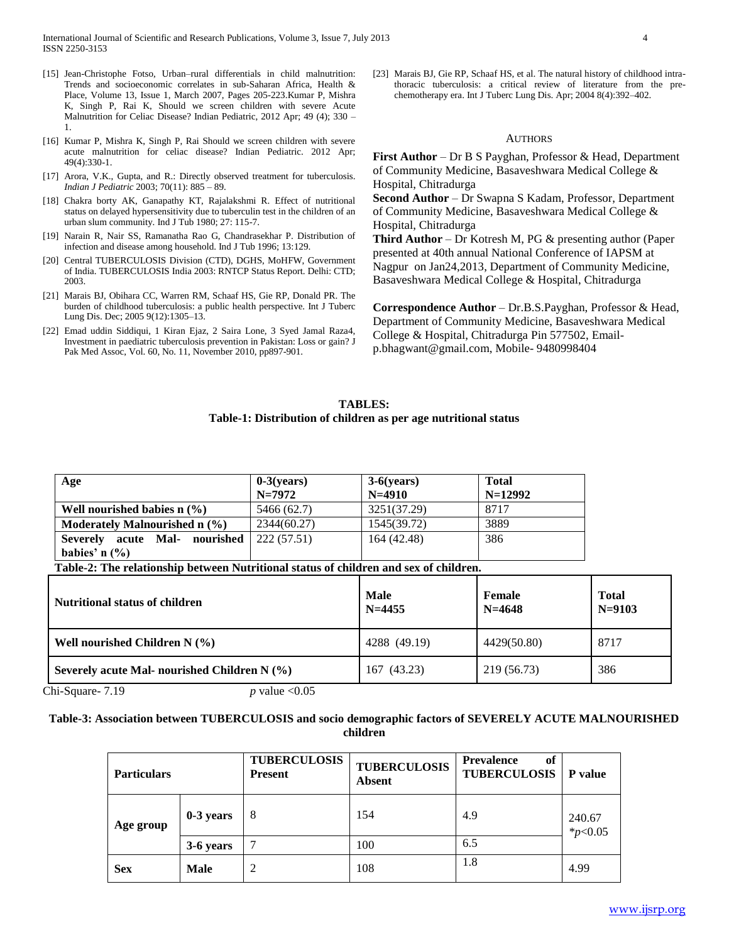International Journal of Scientific and Research Publications, Volume 3, Issue 7, July 2013 4 ISSN 2250-3153

- [15] Jean-Christophe Fotso, Urban-rural differentials in child malnutrition: Trends and socioeconomic correlates in sub-Saharan Africa, Health & Place, Volume 13, Issue 1, March 2007, Pages 205-223.Kumar P, Mishra K, Singh P, Rai K, Should we screen children with severe Acute Malnutrition for Celiac Disease? Indian Pediatric, 2012 Apr; 49 (4); 330 – 1.
- [16] Kumar P, Mishra K, Singh P, Rai Should we screen children with severe acute malnutrition for celiac disease? Indian Pediatric. 2012 Apr; 49(4):330-1.
- [17] Arora, V.K., Gupta, and R.: Directly observed treatment for tuberculosis. *Indian J Pediatric* 2003; 70(11): 885 – 89.
- [18] Chakra borty AK, Ganapathy KT, Rajalakshmi R. Effect of nutritional status on delayed hypersensitivity due to tuberculin test in the children of an urban slum community. Ind J Tub 1980; 27: 115-7.
- [19] Narain R, Nair SS, Ramanatha Rao G, Chandrasekhar P. Distribution of infection and disease among household. Ind J Tub 1996; 13:129.
- [20] Central TUBERCULOSIS Division (CTD), DGHS, MoHFW, Government of India. TUBERCULOSIS India 2003: RNTCP Status Report. Delhi: CTD; 2003.
- [21] Marais BJ, Obihara CC, Warren RM, Schaaf HS, Gie RP, Donald PR. The burden of childhood tuberculosis: a public health perspective. Int J Tuberc Lung Dis. Dec; 2005 9(12):1305–13.
- [22] Emad uddin Siddiqui, 1 Kiran Ejaz, 2 Saira Lone, 3 Syed Jamal Raza4, Investment in paediatric tuberculosis prevention in Pakistan: Loss or gain? J Pak Med Assoc, Vol. 60, No. 11, November 2010, pp897-901.

[23] Marais BJ, Gie RP, Schaaf HS, et al. The natural history of childhood intrathoracic tuberculosis: a critical review of literature from the prechemotherapy era. Int J Tuberc Lung Dis. Apr; 2004 8(4):392–402.

# AUTHORS

**First Author** – Dr B S Payghan, Professor & Head, Department of Community Medicine, Basaveshwara Medical College & Hospital, Chitradurga

**Second Author** – Dr Swapna S Kadam, Professor, Department of Community Medicine, Basaveshwara Medical College & Hospital, Chitradurga

**Third Author** – Dr Kotresh M, PG & presenting author (Paper presented at 40th annual National Conference of IAPSM at Nagpur on Jan24,2013, Department of Community Medicine, Basaveshwara Medical College & Hospital, Chitradurga

**Correspondence Author** – Dr.B.S.Payghan, Professor & Head, Department of Community Medicine, Basaveshwara Medical College & Hospital, Chitradurga Pin 577502, Emailp.bhagwant@gmail.com, Mobile- 9480998404

# **TABLES: Table-1: Distribution of children as per age nutritional status**

| Age                              | $0-3$ (vears) | $3-6(years)$ | <b>Total</b> |
|----------------------------------|---------------|--------------|--------------|
|                                  | $N = 7972$    | $N=4910$     | $N=12992$    |
| Well nourished babies $n$ $(\%)$ | 5466 (62.7)   | 3251(37.29)  | 8717         |
| Moderately Malnourished $n$ (%)  | 2344(60.27)   | 1545(39.72)  | 3889         |
| Severely acute Mal-<br>nourished | 222(57.51)    | 164 (42.48)  | 386          |
| babies' n $(\% )$                |               |              |              |

**Table-2: The relationship between Nutritional status of children and sex of children.**

| <b>Nutritional status of children</b>           | <b>Male</b><br>$N = 4455$ | Female<br>$N=4648$ | <b>Total</b><br>$N=9103$ |
|-------------------------------------------------|---------------------------|--------------------|--------------------------|
| Well nourished Children N $(%)$                 | 4288 (49.19)              | 4429(50.80)        | 8717                     |
| Severely acute Mal- nourished Children N $(\%)$ | 167 (43.23)               | 219 (56.73)        | 386                      |

Chi-Square-  $7.19$  *p* value <0.05

# **Table-3: Association between TUBERCULOSIS and socio demographic factors of SEVERELY ACUTE MALNOURISHED children**

| <b>Particulars</b> |             | <b>TUBERCULOSIS</b><br><b>Present</b> | <b>TUBERCULOSIS</b><br><b>Absent</b> | <b>Prevalence</b><br>of<br><b>TUBERCULOSIS</b> | P value                |
|--------------------|-------------|---------------------------------------|--------------------------------------|------------------------------------------------|------------------------|
| Age group          | $0-3$ years | 8                                     | 154                                  | 4.9                                            | 240.67<br>$*_{p<0.05}$ |
|                    | 3-6 years   |                                       | 100                                  | 6.5                                            |                        |
| <b>Sex</b>         | <b>Male</b> | 2                                     | 108                                  | 1.8                                            | 4.99                   |